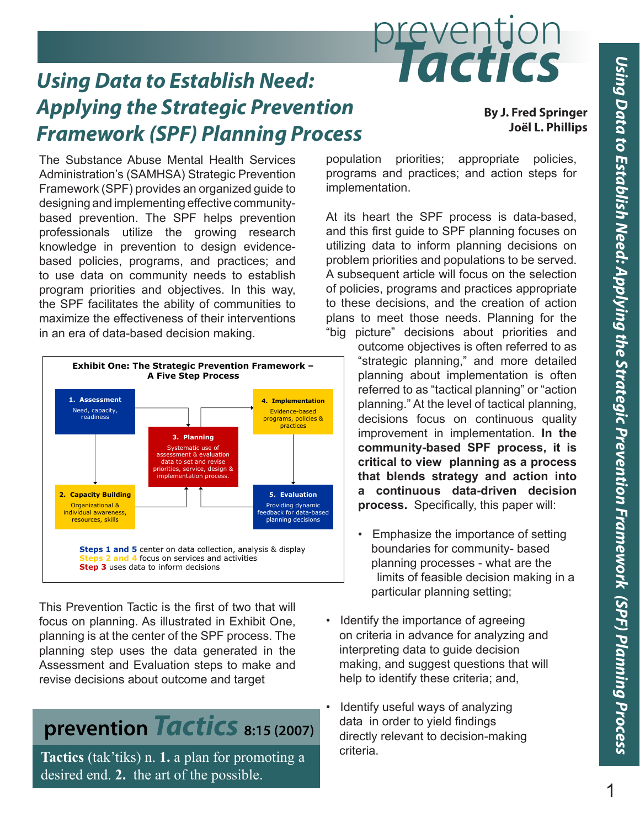# prevention *Using Data to Establish Need: Tactics*

# *Applying the Strategic Prevention*  **Framework (SPF) Planning Process**

**By J. Fred Springer Joël L. Phillips**

The Substance Abuse Mental Health Services Administration's (SAMHSA) Strategic Prevention Framework (SPF) provides an organized guide to SAMHSA's Strategic Prevention Framework provides an organized guide to designing and designing and implementing effective community-<br>helps prevention prevention prevention prevention professionals and the SPF helps prevention professionals and based prevention. The SPF helps prevention exit its heart the professionals utilize the growing research and this-first-guide knowledge in prevention to design evidence-<br>
willizing data to inf based policies, programs, and practices; and to use data on community needs to establish program priorities and objectives. In this way, of policies, programs the SPF facilitates the ability of communities to the these decisions, maximize the effectiveness of their interventions and plans to meet those in an era of data-based decision making. **Example 10** some "big picture" J. Fred Springer a Meniar Lea<br>Broed Co



This Prevention Tactic is the first of two that will focus on planning. As illustrated in Exhibit One, **·** Identify the importanties planning is at the center of the SPF process. The on criteria in adva planning step uses the data generated in the interpreting data to planning step uses the data generated in the printing step asses and take generate in the more printing, and s revise decisions about outcome and target the referred to the referred to as "tactical planning" or "action" o  $t_{\text{max}}$  calculate planning  $\alpha$  is taken on continuous  $\alpha$ 

# **prevention** *Tactics* 8:15 (2007) data in order to continuous prevention *Tactics* 8:15 (2007)

**Tactics** (tak'tiks) n. 1. a plan for promoting a desired end. 2. the art of the possible.

population priorities; appropriate policies, programs and practices; and action steps for implementation.

At its heart the SPF process is data-based, and this first guide to SPF planning focuses on utilizing data to inform planning decisions on problem priorities and populations to be served. A subsequent article will focus on the selection of policies, programs and practices appropriate to these decisions, and the creation of action plans to meet those needs. Planning for the "big picture" decisions about priorities and

> outcome objectives is often referred to as "strategic planning," and more detailed planning about implementation is often referred to as "tactical planning" or "action planning." At the level of tactical planning, decisions focus on continuous quality improvement in implementation. **In the community-based SPF process, it is critical to view planning as a process that blends strategy and action into a continuous data-driven decision process.** Specifically, this paper will:

- Emphasize the importance of setting boundaries for community- based planning processes - what are the limits of feasible decision making in a particular planning setting;
- Identify the importance of agreeing on criteria in advance for analyzing and interpreting data to guide decision making, and suggest questions that will help to identify these criteria; and,
- **In the community-based SPF process, it is critical to see planning as a process that blends strategy as a process that blends strategy as a process, it is called that blends strategy as a process that blends strategy as a**  data in order to yield findings directly relevant to decision-making criteria.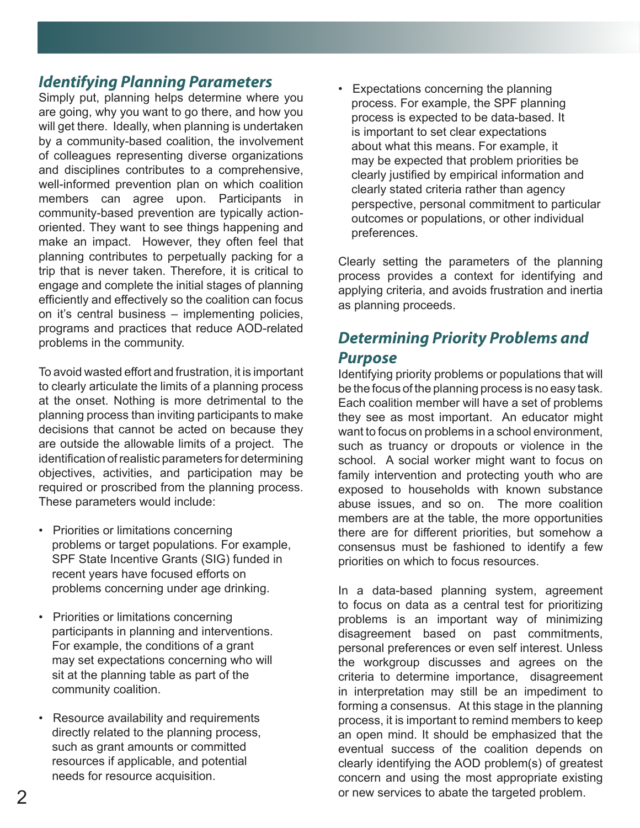### *Identifying Planning Parameters*

Simply put, planning helps determine where you are going, why you want to go there, and how you will get there. Ideally, when planning is undertaken by a community-based coalition, the involvement of colleagues representing diverse organizations and disciplines contributes to a comprehensive, well-informed prevention plan on which coalition members can agree upon. Participants in community-based prevention are typically actionoriented. They want to see things happening and make an impact. However, they often feel that planning contributes to perpetually packing for a trip that is never taken. Therefore, it is critical to engage and complete the initial stages of planning efficiently and effectively so the coalition can focus on it's central business – implementing policies, programs and practices that reduce AOD-related problems in the community.

To avoid wasted effort and frustration, it is important to clearly articulate the limits of a planning process at the onset. Nothing is more detrimental to the planning process than inviting participants to make decisions that cannot be acted on because they are outside the allowable limits of a project. The identification of realistic parameters for determining objectives, activities, and participation may be required or proscribed from the planning process. These parameters would include:

- Priorities or limitations concerning problems or target populations. For example, SPF State Incentive Grants (SIG) funded in recent years have focused efforts on problems concerning under age drinking.
- Priorities or limitations concerning participants in planning and interventions. For example, the conditions of a grant may set expectations concerning who will sit at the planning table as part of the community coalition.
- Resource availability and requirements directly related to the planning process, such as grant amounts or committed resources if applicable, and potential needs for resource acquisition.

Expectations concerning the planning process. For example, the SPF planning process is expected to be data-based. It is important to set clear expectations about what this means. For example, it may be expected that problem priorities be clearly justified by empirical information and clearly stated criteria rather than agency perspective, personal commitment to particular outcomes or populations, or other individual preferences.

Clearly setting the parameters of the planning process provides a context for identifying and applying criteria, and avoids frustration and inertia as planning proceeds.

## *Determining Priority Problems and Purpose*

Identifying priority problems or populations that will be the focus of the planning process is no easy task. Each coalition member will have a set of problems they see as most important. An educator might want to focus on problems in a school environment, such as truancy or dropouts or violence in the school. A social worker might want to focus on family intervention and protecting youth who are exposed to households with known substance abuse issues, and so on. The more coalition members are at the table, the more opportunities there are for different priorities, but somehow a consensus must be fashioned to identify a few priorities on which to focus resources.

In a data-based planning system, agreement to focus on data as a central test for prioritizing problems is an important way of minimizing disagreement based on past commitments, personal preferences or even self interest. Unless the workgroup discusses and agrees on the criteria to determine importance, disagreement in interpretation may still be an impediment to forming a consensus. At this stage in the planning process, it is important to remind members to keep an open mind. It should be emphasized that the eventual success of the coalition depends on clearly identifying the AOD problem(s) of greatest concern and using the most appropriate existing or new services to abate the targeted problem.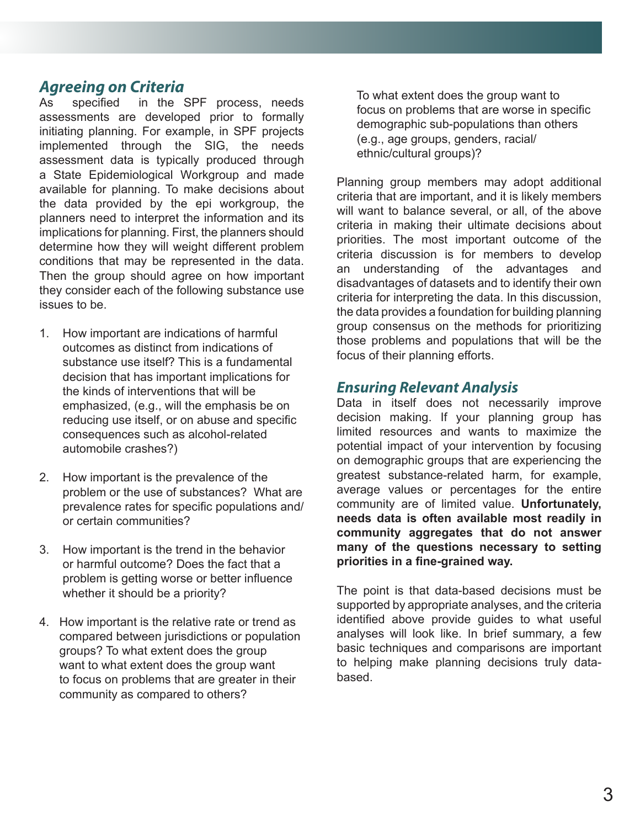#### *Agreeing on Criteria*

As specified in the SPF process, needs assessments are developed prior to formally initiating planning. For example, in SPF projects implemented through the SIG, the needs assessment data is typically produced through a State Epidemiological Workgroup and made available for planning. To make decisions about the data provided by the epi workgroup, the planners need to interpret the information and its implications for planning. First, the planners should determine how they will weight different problem conditions that may be represented in the data. Then the group should agree on how important they consider each of the following substance use issues to be.

- 1. How important are indications of harmful outcomes as distinct from indications of substance use itself? This is a fundamental decision that has important implications for the kinds of interventions that will be emphasized, (e.g., will the emphasis be on reducing use itself, or on abuse and specific consequences such as alcohol-related automobile crashes?)
- 2. How important is the prevalence of the problem or the use of substances? What are prevalence rates for specific populations and/ or certain communities?
- 3. How important is the trend in the behavior or harmful outcome? Does the fact that a problem is getting worse or better influence whether it should be a priority?
- 4. How important is the relative rate or trend as compared between jurisdictions or population groups? To what extent does the group want to what extent does the group want to focus on problems that are greater in their community as compared to others?

 To what extent does the group want to focus on problems that are worse in specific demographic sub-populations than others (e.g., age groups, genders, racial/ ethnic/cultural groups)?

Planning group members may adopt additional criteria that are important, and it is likely members will want to balance several, or all, of the above criteria in making their ultimate decisions about priorities. The most important outcome of the criteria discussion is for members to develop an understanding of the advantages and disadvantages of datasets and to identify their own criteria for interpreting the data. In this discussion, the data provides a foundation for building planning group consensus on the methods for prioritizing those problems and populations that will be the focus of their planning efforts.

#### *Ensuring Relevant Analysis*

Data in itself does not necessarily improve decision making. If your planning group has limited resources and wants to maximize the potential impact of your intervention by focusing on demographic groups that are experiencing the greatest substance-related harm, for example, average values or percentages for the entire community are of limited value. **Unfortunately, needs data is often available most readily in community aggregates that do not answer many of the questions necessary to setting priorities in a fine-grained way.**

The point is that data-based decisions must be supported by appropriate analyses, and the criteria identified above provide guides to what useful analyses will look like. In brief summary, a few basic techniques and comparisons are important to helping make planning decisions truly databased.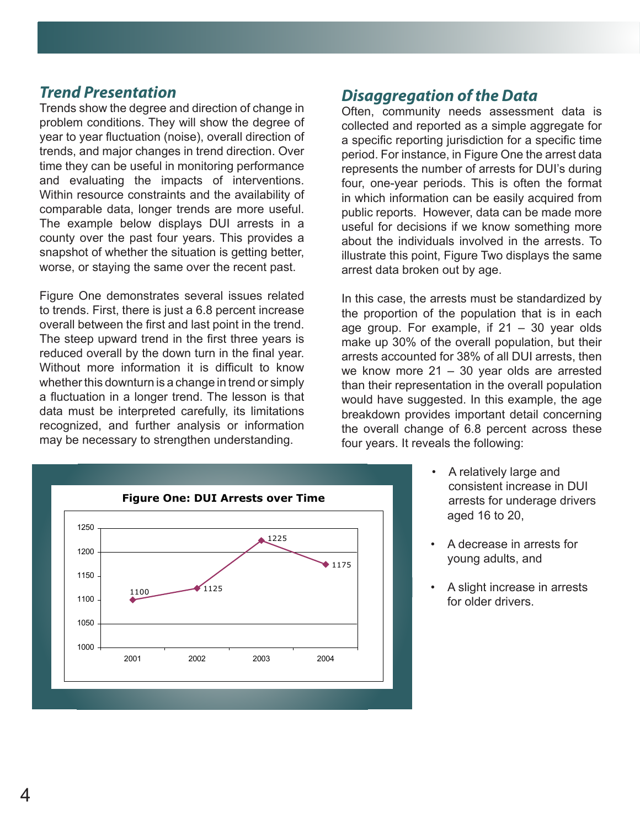#### *Trend Presentation*

Trends show the degree and direction of change in offen. community need problem conditions. They will show the degree of collected and reported a year to year fluctuation (noise), overall direction of a specific reporting juriso trends, and major changes in trend direction. Over example for instance, in F time they can be useful in monitoring performance entity represents the number of and evaluating the impacts of interventions. The four one-vear perid Within resource constraints and the availability of comparable data, longer trends are more useful. The example below displays DUI arrests in a subsetul for decision county over the past four years. This provides a and about the indiv snapshot of whether the situation is getting better, all about the marriague in worse, or staying the same over the recent past. The arrest data broken of limited value. often available most reading most reading that do not an answer many of the questions of the questions of the questions of the questions of the questions of the questions of the questions of the questions of the questions

worse in specific demographic sub-populations than others (e.g., age groups, groups, genders, genders, genders,

Figure One demonstrates several issues related to trends. First, there is just a 6.8 percent increase overall between the first and last point in the trend. The proportion of the proportion The steep upward trend in the first three years is also what useful and the stand reduced overall by the down turn in the final year. That up 50% of the<br>reduced overall by the down turn in the final year. That arrests accounted for Without more information it is difficult to know we know more z i = 30<br>whether this downturn is a change in trend or simply than their representation monorum communiculation in a longer trend. The lesson is that the would have suggested. a mastellism in a ranger lient. The recent to linet the would have suggested.<br>data must be interpreted carefully, its limitations breakdown provides imp evaluating the interpreted constraints of information of the overall change of 6 may be necessary to strengthen understanding. The example of our version of the example below displays of the example below displays of the example of the example below displays of the example below displays of the example



#### **Planning group members members members members may compute up that all that are in that are in the Data** and it i

Often, community needs assessment data is collected and reported as a simple aggregate for a specific reporting jurisdiction for a specific time period. For instance, in Figure One the arrest data represents the number of arrests for DUI's during four, one-year periods. This is often the format in which information can be easily acquired from public reports. However, data can be made more useful for decisions if we know something more about the individuals involved in the arrests. To illustrate this point, Figure Two displays the same arrest data broken out by age.

In this case, the arrests must be standardized by the proportion of the population that is in each age group. For example, if  $21 - 30$  year olds make up 30% of the overall population, but their arrests accounted for 38% of all DUI arrests, then we know more 21 – 30 year olds are arrested than their representation in the overall population would have suggested. In this example, the age breakdown provides important detail concerning the overall change of 6.8 percent across these four years. It reveals the following: county over the past four the past four years. It reveals the same situation is getting the situation is getting the situation is getting the situation is getting the situation is getting the situation is getting to situat

- A relatively large and consistent increase in DUI arrests for underage drivers aged 16 to 20,
- A decrease in arrests for young adults, and
- A slight increase in arrests for older drivers.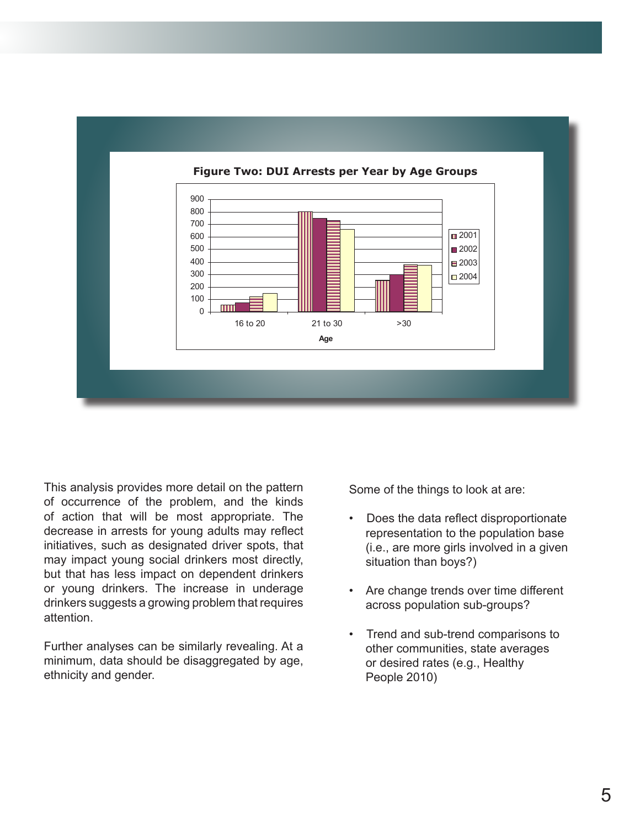

#### This analysis provides more detail on the pattern of occurrence of the problem, and the kinds of estimate in a straight of the straight of the straight of the straight of the straight of the straight of the straight of the straight of the straight of the straight of the s of action that will be most appropriate. The decrease in arrests for young adults may reflect  $r_0$ initiatives, such as designated driver spots, that may impact young social drinkers most directly, exactled than boys?) but that has less impact on dependent drinkers spots, that may be a spot of that may be a set of the control of or young drinkers. The increase in underage drinkers suggests a growing problem that requires acros attention.

Further analyses can be similarly revealing. At a minimum, data should be disaggregated by age, ethnicity and gender.

Some of the things to look at are:

- Does the data reflect disproportionate representation to the population base i, such as designated driver spots, that  $($ i.e., are more girls involved in a given situation than boys?)
- g drinkers. The increase in underage **but that has less in the dependent** of the increase in underage **see that the increase** in underage **see that the increase** in underage **see the increase in the increase in the increas**  across population sub-groups?
	- Trend and sub-trend comparisons to other communities, state averages or desired rates (e.g., Healthy People  $2010$ )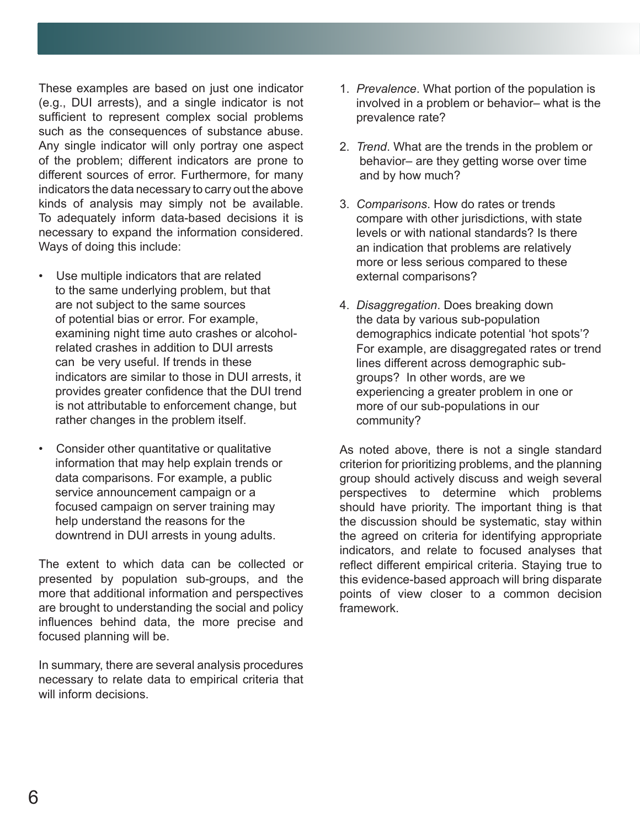These examples are based on just one indicator (e.g., DUI arrests), and a single indicator is not sufficient to represent complex social problems such as the consequences of substance abuse. Any single indicator will only portray one aspect of the problem; different indicators are prone to different sources of error. Furthermore, for many indicators the data necessary to carry out the above kinds of analysis may simply not be available. To adequately inform data-based decisions it is necessary to expand the information considered. Ways of doing this include:

- Use multiple indicators that are related to the same underlying problem, but that are not subject to the same sources of potential bias or error. For example, examining night time auto crashes or alcohol related crashes in addition to DUI arrests can be very useful. If trends in these indicators are similar to those in DUI arrests, it provides greater confidence that the DUI trend is not attributable to enforcement change, but rather changes in the problem itself.
- Consider other quantitative or qualitative information that may help explain trends or data comparisons. For example, a public service announcement campaign or a focused campaign on server training may help understand the reasons for the downtrend in DUI arrests in young adults.

The extent to which data can be collected or presented by population sub-groups, and the more that additional information and perspectives are brought to understanding the social and policy influences behind data, the more precise and focused planning will be.

In summary, there are several analysis procedures necessary to relate data to empirical criteria that will inform decisions.

- 1. *Prevalence*. What portion of the population is involved in a problem or behavior– what is the prevalence rate?
- 2. *Trend*. What are the trends in the problem or behavior– are they getting worse over time and by how much?
- 3. *Comparisons*. How do rates or trends compare with other jurisdictions, with state levels or with national standards? Is there an indication that problems are relatively more or less serious compared to these external comparisons?
- 4. *Disaggregation*. Does breaking down the data by various sub-population demographics indicate potential 'hot spots'? For example, are disaggregated rates or trend lines different across demographic sub groups? In other words, are we experiencing a greater problem in one or more of our sub-populations in our community?

As noted above, there is not a single standard criterion for prioritizing problems, and the planning group should actively discuss and weigh several perspectives to determine which problems should have priority. The important thing is that the discussion should be systematic, stay within the agreed on criteria for identifying appropriate indicators, and relate to focused analyses that reflect different empirical criteria. Staying true to this evidence-based approach will bring disparate points of view closer to a common decision framework.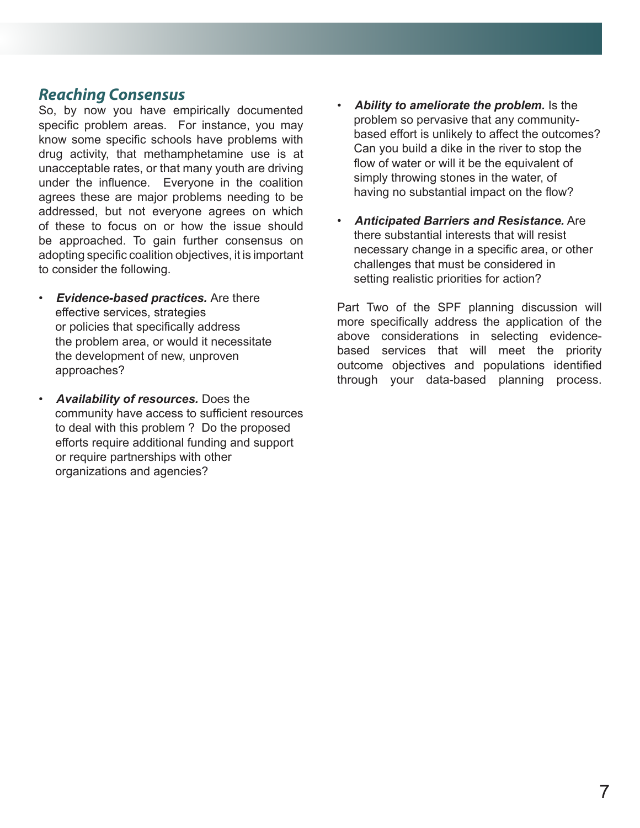#### *Reaching Consensus*

So, by now you have empirically documented specific problem areas. For instance, you may know some specific schools have problems with drug activity, that methamphetamine use is at unacceptable rates, or that many youth are driving under the influence. Everyone in the coalition agrees these are major problems needing to be addressed, but not everyone agrees on which of these to focus on or how the issue should be approached. To gain further consensus on adopting specific coalition objectives, it is important to consider the following.

- *Evidence-based practices.* Are there effective services, strategies or policies that specifically address the problem area, or would it necessitate the development of new, unproven approaches?
- *Availability of resources.* Does the community have access to sufficient resources to deal with this problem ? Do the proposed efforts require additional funding and support or require partnerships with other organizations and agencies?
- *Ability to ameliorate the problem.* Is the problem so pervasive that any community based effort is unlikely to affect the outcomes? Can you build a dike in the river to stop the flow of water or will it be the equivalent of simply throwing stones in the water, of having no substantial impact on the flow?
- *Anticipated Barriers and Resistance.* Are there substantial interests that will resist necessary change in a specific area, or other challenges that must be considered in setting realistic priorities for action?

Part Two of the SPF planning discussion will more specifically address the application of the above considerations in selecting evidencebased services that will meet the priority outcome objectives and populations identified through your data-based planning process.